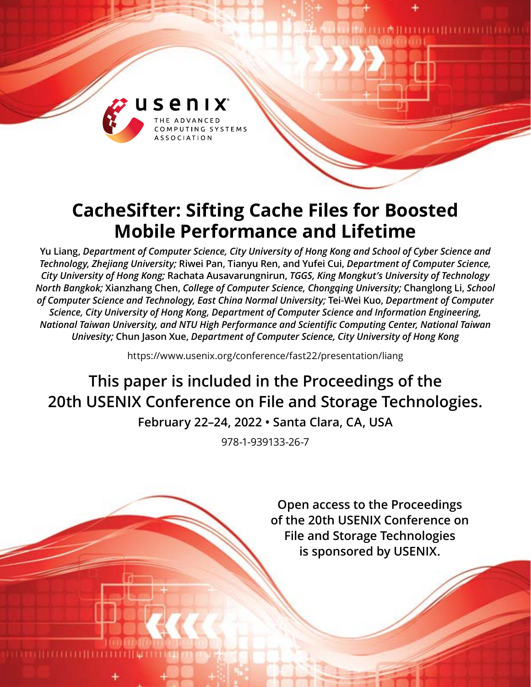

# **CacheSifter: Sifting Cache Files for Boosted Mobile Performance and Lifetime**

**Yu Liang,** *Department of Computer Science, City University of Hong Kong and School of Cyber Science and Technology, Zhejiang University;* **Riwei Pan, Tianyu Ren, and Yufei Cui,** *Department of Computer Science, City University of Hong Kong;* **Rachata Ausavarungnirun,** *TGGS, King Mongkut's University of Technology North Bangkok;* **Xianzhang Chen,** *College of Computer Science, Chongqing University;* **Changlong Li,** *School of Computer Science and Technology, East China Normal University;* **Tei-Wei Kuo,** *Department of Computer Science, City University of Hong Kong, Department of Computer Science and Information Engineering, National Taiwan University, and NTU High Performance and Scientific Computing Center, National Taiwan Univesity;* **Chun Jason Xue,** *Department of Computer Science, City University of Hong Kong*

https://www.usenix.org/conference/fast22/presentation/liang

**This paper is included in the Proceedings of the 20th USENIX Conference on File and Storage Technologies.**

**February 22–24, 2022 • Santa Clara, CA, USA**

978-1-939133-26-7

**Open access to the Proceedings of the 20th USENIX Conference on File and Storage Technologies is sponsored by USENIX.**

**THE MATHEMATIC PRODUCTION OF A SERIES AND RESIDENT**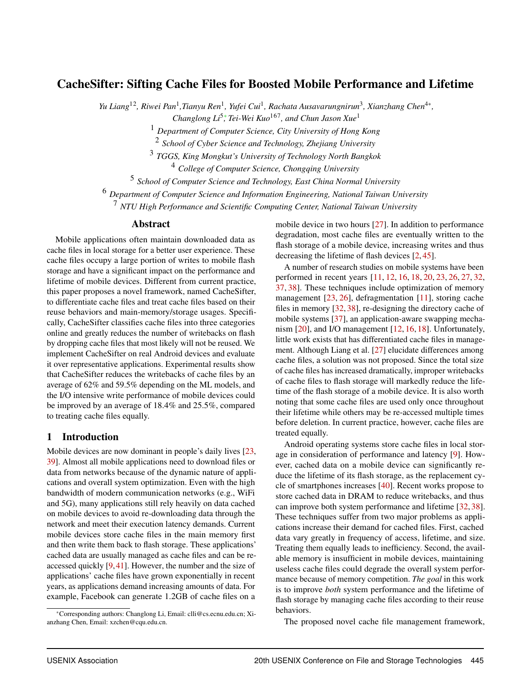# CacheSifter: Sifting Cache Files for Boosted Mobile Performance and Lifetime

*Yu Liang*12*, Riwei Pan*<sup>1</sup> *,Tianyu Ren*<sup>1</sup> *, Yufei Cui*<sup>1</sup> *, Rachata Ausavarungnirun*<sup>3</sup> *, Xianzhang Chen*4<sup>∗</sup> *,*

*Changlong Li<sup>5</sup><sup>\*</sup>, Tei-Wei Kuo<sup>167</sup>, and Chun Jason Xue<sup>1</sup>* 

<sup>1</sup> *Department of Computer Science, City University of Hong Kong*

2 *School of Cyber Science and Technology, Zhejiang University*

3 *TGGS, King Mongkut's University of Technology North Bangkok*

<sup>4</sup> *College of Computer Science, Chongqing University*

5 *School of Computer Science and Technology, East China Normal University*

<sup>6</sup> *Department of Computer Science and Information Engineering, National Taiwan University*

<sup>7</sup> *NTU High Performance and Scientific Computing Center, National Taiwan University*

## Abstract

Mobile applications often maintain downloaded data as cache files in local storage for a better user experience. These cache files occupy a large portion of writes to mobile flash storage and have a significant impact on the performance and lifetime of mobile devices. Different from current practice, this paper proposes a novel framework, named CacheSifter, to differentiate cache files and treat cache files based on their reuse behaviors and main-memory/storage usages. Specifically, CacheSifter classifies cache files into three categories online and greatly reduces the number of writebacks on flash by dropping cache files that most likely will not be reused. We implement CacheSifter on real Android devices and evaluate it over representative applications. Experimental results show that CacheSifter reduces the writebacks of cache files by an average of 62% and 59.5% depending on the ML models, and the I/O intensive write performance of mobile devices could be improved by an average of 18.4% and 25.5%, compared to treating cache files equally.

#### 1 Introduction

Mobile devices are now dominant in people's daily lives [\[23,](#page-14-0) [39\]](#page-15-0). Almost all mobile applications need to download files or data from networks because of the dynamic nature of applications and overall system optimization. Even with the high bandwidth of modern communication networks (e.g., WiFi and 5G), many applications still rely heavily on data cached on mobile devices to avoid re-downloading data through the network and meet their execution latency demands. Current mobile devices store cache files in the main memory first and then write them back to flash storage. These applications' cached data are usually managed as cache files and can be reaccessed quickly [\[9,](#page-14-1)[41\]](#page-15-1). However, the number and the size of applications' cache files have grown exponentially in recent years, as applications demand increasing amounts of data. For example, Facebook can generate 1.2GB of cache files on a

mobile device in two hours [\[27\]](#page-15-2). In addition to performance degradation, most cache files are eventually written to the flash storage of a mobile device, increasing writes and thus decreasing the lifetime of flash devices [\[2,](#page-13-0) [45\]](#page-15-3).

A number of research studies on mobile systems have been performed in recent years [\[11,](#page-14-2) [12,](#page-14-3) [16,](#page-14-4) [18,](#page-14-5) [20,](#page-14-6) [23,](#page-14-0) [26,](#page-15-4) [27,](#page-15-2) [32,](#page-15-5) [37,](#page-15-6) [38\]](#page-15-7). These techniques include optimization of memory management [\[23,](#page-14-0) [26\]](#page-15-4), defragmentation [\[11\]](#page-14-2), storing cache files in memory [\[32,](#page-15-5) [38\]](#page-15-7), re-designing the directory cache of mobile systems [\[37\]](#page-15-6), an application-aware swapping mechanism [\[20\]](#page-14-6), and I/O management [\[12,](#page-14-3) [16,](#page-14-4) [18\]](#page-14-5). Unfortunately, little work exists that has differentiated cache files in management. Although Liang et al. [\[27\]](#page-15-2) elucidate differences among cache files, a solution was not proposed. Since the total size of cache files has increased dramatically, improper writebacks of cache files to flash storage will markedly reduce the lifetime of the flash storage of a mobile device. It is also worth noting that some cache files are used only once throughout their lifetime while others may be re-accessed multiple times before deletion. In current practice, however, cache files are treated equally.

Android operating systems store cache files in local storage in consideration of performance and latency [\[9\]](#page-14-1). However, cached data on a mobile device can significantly reduce the lifetime of its flash storage, as the replacement cycle of smartphones increases [\[40\]](#page-15-8). Recent works propose to store cached data in DRAM to reduce writebacks, and thus can improve both system performance and lifetime [\[32,](#page-15-5) [38\]](#page-15-7). These techniques suffer from two major problems as applications increase their demand for cached files. First, cached data vary greatly in frequency of access, lifetime, and size. Treating them equally leads to inefficiency. Second, the available memory is insufficient in mobile devices, maintaining useless cache files could degrade the overall system performance because of memory competition. *The goal* in this work is to improve *both* system performance and the lifetime of flash storage by managing cache files according to their reuse behaviors.

The proposed novel cache file management framework,

<sup>∗</sup>Corresponding authors: Changlong Li, Email: clli@cs.ecnu.edu.cn; Xianzhang Chen, Email: xzchen@cqu.edu.cn.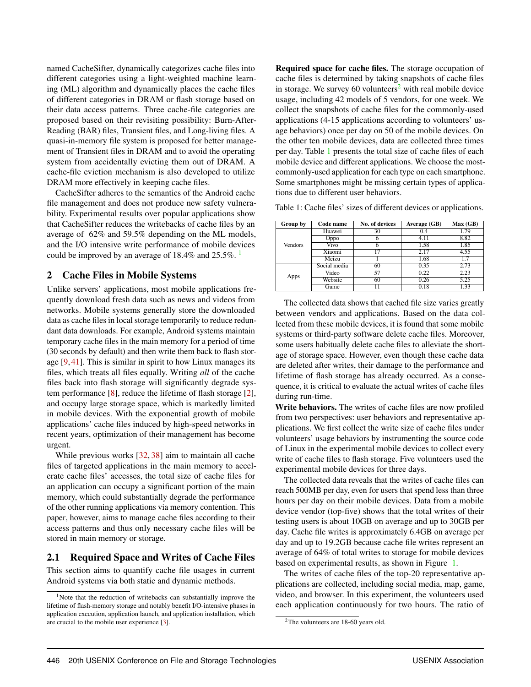named CacheSifter, dynamically categorizes cache files into different categories using a light-weighted machine learning (ML) algorithm and dynamically places the cache files of different categories in DRAM or flash storage based on their data access patterns. Three cache-file categories are proposed based on their revisiting possibility: Burn-After-Reading (BAR) files, Transient files, and Long-living files. A quasi-in-memory file system is proposed for better management of Transient files in DRAM and to avoid the operating system from accidentally evicting them out of DRAM. A cache-file eviction mechanism is also developed to utilize DRAM more effectively in keeping cache files.

CacheSifter adheres to the semantics of the Android cache file management and does not produce new safety vulnerability. Experimental results over popular applications show that CacheSifter reduces the writebacks of cache files by an average of 62% and 59.5% depending on the ML models, and the I/O intensive write performance of mobile devices could be improved by an average of  $18.4\%$  $18.4\%$  and  $25.5\%$ .

#### 2 Cache Files in Mobile Systems

Unlike servers' applications, most mobile applications frequently download fresh data such as news and videos from networks. Mobile systems generally store the downloaded data as cache files in local storage temporarily to reduce redundant data downloads. For example, Android systems maintain temporary cache files in the main memory for a period of time (30 seconds by default) and then write them back to flash storage [\[9,](#page-14-1) [41\]](#page-15-1). This is similar in spirit to how Linux manages its files, which treats all files equally. Writing *all* of the cache files back into flash storage will significantly degrade system performance [\[8\]](#page-14-7), reduce the lifetime of flash storage [\[2\]](#page-13-0), and occupy large storage space, which is markedly limited in mobile devices. With the exponential growth of mobile applications' cache files induced by high-speed networks in recent years, optimization of their management has become urgent.

While previous works [\[32,](#page-15-5) [38\]](#page-15-7) aim to maintain all cache files of targeted applications in the main memory to accelerate cache files' accesses, the total size of cache files for an application can occupy a significant portion of the main memory, which could substantially degrade the performance of the other running applications via memory contention. This paper, however, aims to manage cache files according to their access patterns and thus only necessary cache files will be stored in main memory or storage.

## 2.1 Required Space and Writes of Cache Files

This section aims to quantify cache file usages in current Android systems via both static and dynamic methods.

Required space for cache files. The storage occupation of cache files is determined by taking snapshots of cache files in storage. We survey 60 volunteers<sup>[2](#page-2-1)</sup> with real mobile device usage, including 42 models of 5 vendors, for one week. We collect the snapshots of cache files for the commonly-used applications (4-15 applications according to volunteers' usage behaviors) once per day on 50 of the mobile devices. On the other ten mobile devices, data are collected three times per day. Table [1](#page-2-2) presents the total size of cache files of each mobile device and different applications. We choose the mostcommonly-used application for each type on each smartphone. Some smartphones might be missing certain types of applications due to different user behaviors.

<span id="page-2-2"></span>Table 1: Cache files' sizes of different devices or applications.

| Group by       | Code name    | No. of devices | Average (GB) | Max(GB)           |
|----------------|--------------|----------------|--------------|-------------------|
|                | Huawei       | 30             | 0.4          | 1.79              |
|                | Oppo         | 6              | 4.11         | 8.82              |
| <b>Vendors</b> | Vivo         | h              | 1.58         | 1.85              |
|                | Xiaomi       | 17             | 2.17         | 4.55              |
|                | Meizu        |                | 1.68         | 1.7               |
| Apps           | Social media | 60             | 0.35         | 2.73              |
|                | Video        | 57             | 0.22         | 2.23              |
|                | Website      | 60             | 0.26         | 5.25              |
|                | Game         |                | 0.18         | $\overline{1.33}$ |

The collected data shows that cached file size varies greatly between vendors and applications. Based on the data collected from these mobile devices, it is found that some mobile systems or third-party software delete cache files. Moreover, some users habitually delete cache files to alleviate the shortage of storage space. However, even though these cache data are deleted after writes, their damage to the performance and lifetime of flash storage has already occurred. As a consequence, it is critical to evaluate the actual writes of cache files during run-time.

Write behaviors. The writes of cache files are now profiled from two perspectives: user behaviors and representative applications. We first collect the write size of cache files under volunteers' usage behaviors by instrumenting the source code of Linux in the experimental mobile devices to collect every write of cache files to flash storage. Five volunteers used the experimental mobile devices for three days.

The collected data reveals that the writes of cache files can reach 500MB per day, even for users that spend less than three hours per day on their mobile devices. Data from a mobile device vendor (top-five) shows that the total writes of their testing users is about 10GB on average and up to 30GB per day. Cache file writes is approximately 6.4GB on average per day and up to 19.2GB because cache file writes represent an average of 64% of total writes to storage for mobile devices based on experimental results, as shown in Figure [1.](#page-3-0)

The writes of cache files of the top-20 representative applications are collected, including social media, map, game, video, and browser. In this experiment, the volunteers used each application continuously for two hours. The ratio of

<span id="page-2-0"></span><sup>&</sup>lt;sup>1</sup>Note that the reduction of writebacks can substantially improve the lifetime of flash-memory storage and notably benefit I/O-intensive phases in application execution, application launch, and application installation, which are crucial to the mobile user experience [\[3\]](#page-14-8).

<span id="page-2-1"></span> $2$ The volunteers are 18-60 years old.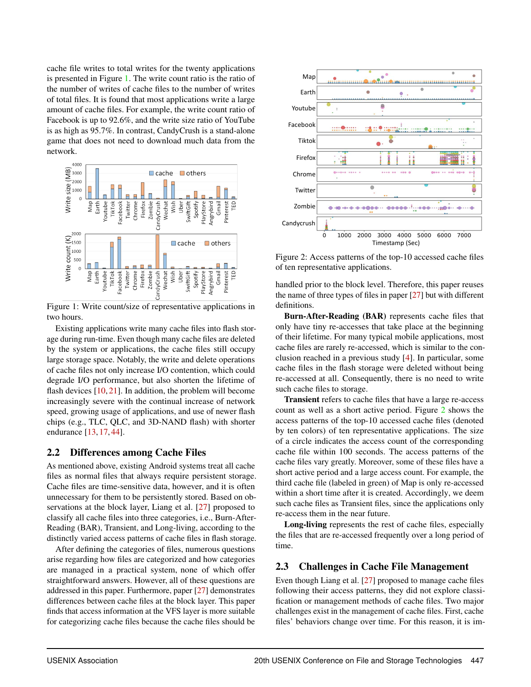cache file writes to total writes for the twenty applications is presented in Figure [1.](#page-3-0) The write count ratio is the ratio of the number of writes of cache files to the number of writes of total files. It is found that most applications write a large amount of cache files. For example, the write count ratio of Facebook is up to 92.6%, and the write size ratio of YouTube is as high as 95.7%. In contrast, CandyCrush is a stand-alone game that does not need to download much data from the network.

<span id="page-3-0"></span>

Figure 1: Write count/size of representative applications in two hours.

Existing applications write many cache files into flash storage during run-time. Even though many cache files are deleted by the system or applications, the cache files still occupy large storage space. Notably, the write and delete operations of cache files not only increase I/O contention, which could degrade I/O performance, but also shorten the lifetime of flash devices  $[10, 21]$  $[10, 21]$  $[10, 21]$ . In addition, the problem will become increasingly severe with the continual increase of network speed, growing usage of applications, and use of newer flash chips (e.g., TLC, QLC, and 3D-NAND flash) with shorter endurance [\[13,](#page-14-11) [17,](#page-14-12) [44\]](#page-15-9).

#### 2.2 Differences among Cache Files

As mentioned above, existing Android systems treat all cache files as normal files that always require persistent storage. Cache files are time-sensitive data, however, and it is often unnecessary for them to be persistently stored. Based on observations at the block layer, Liang et al. [\[27\]](#page-15-2) proposed to classify all cache files into three categories, i.e., Burn-After-Reading (BAR), Transient, and Long-living, according to the distinctly varied access patterns of cache files in flash storage.

After defining the categories of files, numerous questions arise regarding how files are categorized and how categories are managed in a practical system, none of which offer straightforward answers. However, all of these questions are addressed in this paper. Furthermore, paper [\[27\]](#page-15-2) demonstrates differences between cache files at the block layer. This paper finds that access information at the VFS layer is more suitable for categorizing cache files because the cache files should be

<span id="page-3-1"></span>

Figure 2: Access patterns of the top-10 accessed cache files of ten representative applications.

handled prior to the block level. Therefore, this paper reuses the name of three types of files in paper [\[27\]](#page-15-2) but with different definitions.

Burn-After-Reading (BAR) represents cache files that only have tiny re-accesses that take place at the beginning of their lifetime. For many typical mobile applications, most cache files are rarely re-accessed, which is similar to the conclusion reached in a previous study [\[4\]](#page-14-13). In particular, some cache files in the flash storage were deleted without being re-accessed at all. Consequently, there is no need to write such cache files to storage.

Transient refers to cache files that have a large re-access count as well as a short active period. Figure [2](#page-3-1) shows the access patterns of the top-10 accessed cache files (denoted by ten colors) of ten representative applications. The size of a circle indicates the access count of the corresponding cache file within 100 seconds. The access patterns of the cache files vary greatly. Moreover, some of these files have a short active period and a large access count. For example, the third cache file (labeled in green) of Map is only re-accessed within a short time after it is created. Accordingly, we deem such cache files as Transient files, since the applications only re-access them in the near future.

Long-living represents the rest of cache files, especially the files that are re-accessed frequently over a long period of time.

#### 2.3 Challenges in Cache File Management

Even though Liang et al. [\[27\]](#page-15-2) proposed to manage cache files following their access patterns, they did not explore classification or management methods of cache files. Two major challenges exist in the management of cache files. First, cache files' behaviors change over time. For this reason, it is im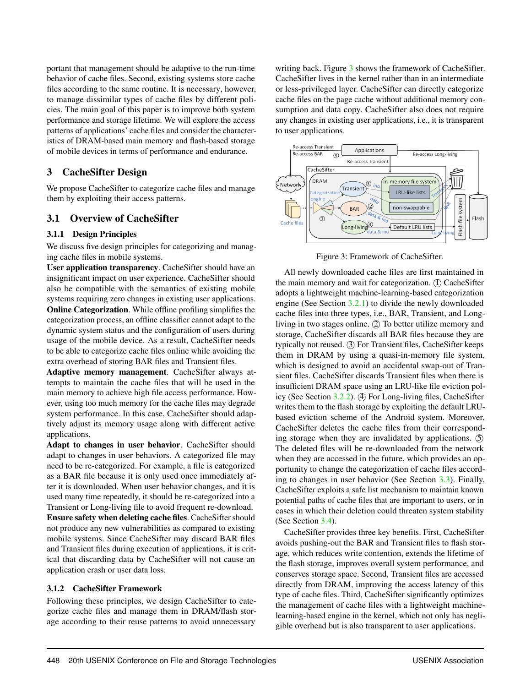portant that management should be adaptive to the run-time behavior of cache files. Second, existing systems store cache files according to the same routine. It is necessary, however, to manage dissimilar types of cache files by different policies. The main goal of this paper is to improve both system performance and storage lifetime. We will explore the access patterns of applications' cache files and consider the characteristics of DRAM-based main memory and flash-based storage of mobile devices in terms of performance and endurance.

## 3 CacheSifter Design

We propose CacheSifter to categorize cache files and manage them by exploiting their access patterns.

## 3.1 Overview of CacheSifter

#### 3.1.1 Design Principles

We discuss five design principles for categorizing and managing cache files in mobile systems.

User application transparency. CacheSifter should have an insignificant impact on user experience. CacheSifter should also be compatible with the semantics of existing mobile systems requiring zero changes in existing user applications. Online Categorization. While offline profiling simplifies the categorization process, an offline classifier cannot adapt to the dynamic system status and the configuration of users during usage of the mobile device. As a result, CacheSifter needs to be able to categorize cache files online while avoiding the extra overhead of storing BAR files and Transient files.

Adaptive memory management. CacheSifter always attempts to maintain the cache files that will be used in the main memory to achieve high file access performance. However, using too much memory for the cache files may degrade system performance. In this case, CacheSifter should adaptively adjust its memory usage along with different active applications.

Adapt to changes in user behavior. CacheSifter should adapt to changes in user behaviors. A categorized file may need to be re-categorized. For example, a file is categorized as a BAR file because it is only used once immediately after it is downloaded. When user behavior changes, and it is used many time repeatedly, it should be re-categorized into a Transient or Long-living file to avoid frequent re-download. Ensure safety when deleting cache files. CacheSifter should not produce any new vulnerabilities as compared to existing mobile systems. Since CacheSifter may discard BAR files and Transient files during execution of applications, it is critical that discarding data by CacheSifter will not cause an application crash or user data loss.

#### 3.1.2 CacheSifter Framework

Following these principles, we design CacheSifter to categorize cache files and manage them in DRAM/flash storage according to their reuse patterns to avoid unnecessary

writing back. Figure [3](#page-4-0) shows the framework of CacheSifter. CacheSifter lives in the kernel rather than in an intermediate or less-privileged layer. CacheSifter can directly categorize cache files on the page cache without additional memory consumption and data copy. CacheSifter also does not require any changes in existing user applications, i.e., it is transparent to user applications.

<span id="page-4-0"></span>

Figure 3: Framework of CacheSifter.

All newly downloaded cache files are first maintained in the main memory and wait for categorization. (I) CacheSifter adopts a lightweight machine-learning-based categorization engine (See Section [3.2.1\)](#page-5-0) to divide the newly downloaded cache files into three types, i.e., BAR, Transient, and Longliving in two stages online. (2) To better utilize memory and storage, CacheSifter discards all BAR files because they are typically not reused. 3 For Transient files, CacheSifter keeps them in DRAM by using a quasi-in-memory file system, which is designed to avoid an accidental swap-out of Transient files. CacheSifter discards Transient files when there is insufficient DRAM space using an LRU-like file eviction pol-icy (See Section [3.2.2\)](#page-5-1). (4) For Long-living files, CacheSifter writes them to the flash storage by exploiting the default LRUbased eviction scheme of the Android system. Moreover, CacheSifter deletes the cache files from their corresponding storage when they are invalidated by applications. 5 The deleted files will be re-downloaded from the network when they are accessed in the future, which provides an opportunity to change the categorization of cache files according to changes in user behavior (See Section [3.3\)](#page-6-0). Finally, CacheSifter exploits a safe list mechanism to maintain known potential paths of cache files that are important to users, or in cases in which their deletion could threaten system stability (See Section [3.4\)](#page-6-1).

CacheSifter provides three key benefits. First, CacheSifter avoids pushing-out the BAR and Transient files to flash storage, which reduces write contention, extends the lifetime of the flash storage, improves overall system performance, and conserves storage space. Second, Transient files are accessed directly from DRAM, improving the access latency of this type of cache files. Third, CacheSifter significantly optimizes the management of cache files with a lightweight machinelearning-based engine in the kernel, which not only has negligible overhead but is also transparent to user applications.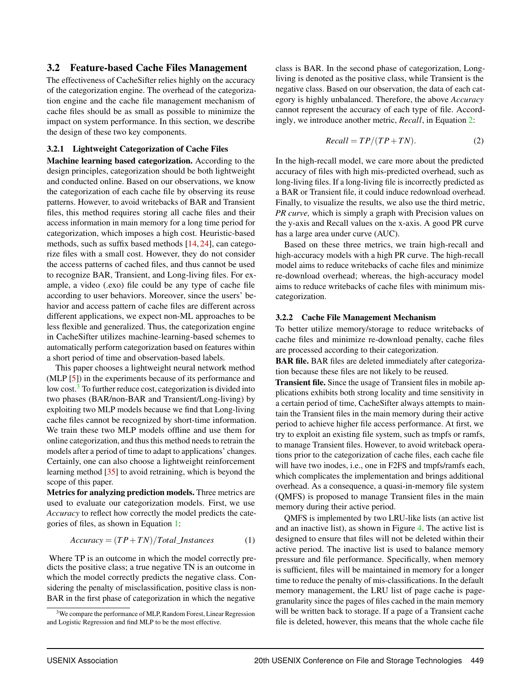#### 3.2 Feature-based Cache Files Management

The effectiveness of CacheSifter relies highly on the accuracy of the categorization engine. The overhead of the categorization engine and the cache file management mechanism of cache files should be as small as possible to minimize the impact on system performance. In this section, we describe the design of these two key components.

#### <span id="page-5-0"></span>3.2.1 Lightweight Categorization of Cache Files

Machine learning based categorization. According to the design principles, categorization should be both lightweight and conducted online. Based on our observations, we know the categorization of each cache file by observing its reuse patterns. However, to avoid writebacks of BAR and Transient files, this method requires storing all cache files and their access information in main memory for a long time period for categorization, which imposes a high cost. Heuristic-based methods, such as suffix based methods [\[14,](#page-14-14) [24\]](#page-15-10), can categorize files with a small cost. However, they do not consider the access patterns of cached files, and thus cannot be used to recognize BAR, Transient, and Long-living files. For example, a video (.exo) file could be any type of cache file according to user behaviors. Moreover, since the users' behavior and access pattern of cache files are different across different applications, we expect non-ML approaches to be less flexible and generalized. Thus, the categorization engine in CacheSifter utilizes machine-learning-based schemes to automatically perform categorization based on features within a short period of time and observation-based labels.

This paper chooses a lightweight neural network method (MLP [\[5\]](#page-14-15)) in the experiments because of its performance and low cost.<sup>[3](#page-5-2)</sup> To further reduce cost, categorization is divided into two phases (BAR/non-BAR and Transient/Long-living) by exploiting two MLP models because we find that Long-living cache files cannot be recognized by short-time information. We train these two MLP models offline and use them for online categorization, and thus this method needs to retrain the models after a period of time to adapt to applications' changes. Certainly, one can also choose a lightweight reinforcement learning method [\[35\]](#page-15-11) to avoid retraining, which is beyond the scope of this paper.

Metrics for analyzing prediction models. Three metrics are used to evaluate our categorization models. First, we use *Accuracy* to reflect how correctly the model predicts the categories of files, as shown in Equation [1:](#page-5-3)

<span id="page-5-3"></span>
$$
Accuracy = (TP + TN) / Total\_Instantes
$$
 (1)

Where TP is an outcome in which the model correctly predicts the positive class; a true negative TN is an outcome in which the model correctly predicts the negative class. Considering the penalty of misclassification, positive class is non-BAR in the first phase of categorization in which the negative

class is BAR. In the second phase of categorization, Longliving is denoted as the positive class, while Transient is the negative class. Based on our observation, the data of each category is highly unbalanced. Therefore, the above *Accuracy* cannot represent the accuracy of each type of file. Accordingly, we introduce another metric, *Recall*, in Equation [2:](#page-5-4)

<span id="page-5-4"></span>
$$
Recall = TP/(TP + TN).
$$
 (2)

In the high-recall model, we care more about the predicted accuracy of files with high mis-predicted overhead, such as long-living files. If a long-living file is incorrectly predicted as a BAR or Transient file, it could induce redownload overhead. Finally, to visualize the results, we also use the third metric, *PR curve,* which is simply a graph with Precision values on the y-axis and Recall values on the x-axis. A good PR curve has a large area under curve (AUC).

Based on these three metrics, we train high-recall and high-accuracy models with a high PR curve. The high-recall model aims to reduce writebacks of cache files and minimize re-download overhead; whereas, the high-accuracy model aims to reduce writebacks of cache files with minimum miscategorization.

#### <span id="page-5-1"></span>3.2.2 Cache File Management Mechanism

To better utilize memory/storage to reduce writebacks of cache files and minimize re-download penalty, cache files are processed according to their categorization.

BAR file. BAR files are deleted immediately after categorization because these files are not likely to be reused.

Transient file. Since the usage of Transient files in mobile applications exhibits both strong locality and time sensitivity in a certain period of time, CacheSifter always attempts to maintain the Transient files in the main memory during their active period to achieve higher file access performance. At first, we try to exploit an existing file system, such as tmpfs or ramfs, to manage Transient files. However, to avoid writeback operations prior to the categorization of cache files, each cache file will have two inodes, i.e., one in F2FS and tmpfs/ramfs each, which complicates the implementation and brings additional overhead. As a consequence, a quasi-in-memory file system (QMFS) is proposed to manage Transient files in the main memory during their active period.

QMFS is implemented by two LRU-like lists (an active list and an inactive list), as shown in Figure [4.](#page-6-2) The active list is designed to ensure that files will not be deleted within their active period. The inactive list is used to balance memory pressure and file performance. Specifically, when memory is sufficient, files will be maintained in memory for a longer time to reduce the penalty of mis-classifications. In the default memory management, the LRU list of page cache is pagegranularity since the pages of files cached in the main memory will be written back to storage. If a page of a Transient cache file is deleted, however, this means that the whole cache file

<span id="page-5-2"></span> $3$ We compare the performance of MLP, Random Forest, Linear Regression and Logistic Regression and find MLP to be the most effective.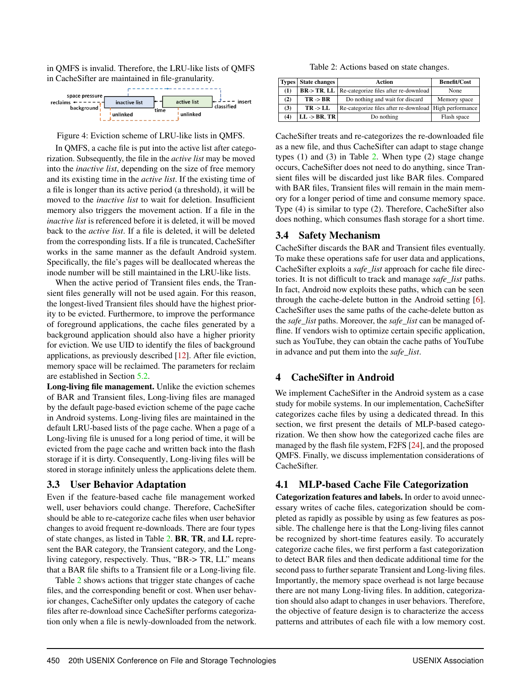in QMFS is invalid. Therefore, the LRU-like lists of QMFS in CacheSifter are maintained in file-granularity.

<span id="page-6-2"></span>

Figure 4: Eviction scheme of LRU-like lists in QMFS.

In QMFS, a cache file is put into the active list after categorization. Subsequently, the file in the *active list* may be moved into the *inactive list*, depending on the size of free memory and its existing time in the *active list*. If the existing time of a file is longer than its active period (a threshold), it will be moved to the *inactive list* to wait for deletion. Insufficient memory also triggers the movement action. If a file in the *inactive list* is referenced before it is deleted, it will be moved back to the *active list*. If a file is deleted, it will be deleted from the corresponding lists. If a file is truncated, CacheSifter works in the same manner as the default Android system. Specifically, the file's pages will be deallocated whereas the inode number will be still maintained in the LRU-like lists.

When the active period of Transient files ends, the Transient files generally will not be used again. For this reason, the longest-lived Transient files should have the highest priority to be evicted. Furthermore, to improve the performance of foreground applications, the cache files generated by a background application should also have a higher priority for eviction. We use UID to identify the files of background applications, as previously described [\[12\]](#page-14-3). After file eviction, memory space will be reclaimed. The parameters for reclaim are established in Section [5.2.](#page-9-0)

Long-living file management. Unlike the eviction schemes of BAR and Transient files, Long-living files are managed by the default page-based eviction scheme of the page cache in Android systems. Long-living files are maintained in the default LRU-based lists of the page cache. When a page of a Long-living file is unused for a long period of time, it will be evicted from the page cache and written back into the flash storage if it is dirty. Consequently, Long-living files will be stored in storage infinitely unless the applications delete them.

#### <span id="page-6-0"></span>3.3 User Behavior Adaptation

Even if the feature-based cache file management worked well, user behaviors could change. Therefore, CacheSifter should be able to re-categorize cache files when user behavior changes to avoid frequent re-downloads. There are four types of state changes, as listed in Table [2.](#page-6-3) BR, TR, and LL represent the BAR category, the Transient category, and the Longliving category, respectively. Thus, "BR-> TR, LL" means that a BAR file shifts to a Transient file or a Long-living file.

Table [2](#page-6-3) shows actions that trigger state changes of cache files, and the corresponding benefit or cost. When user behavior changes, CacheSifter only updates the category of cache files after re-download since CacheSifter performs categorization only when a file is newly-downloaded from the network.

Table 2: Actions based on state changes.

<span id="page-6-3"></span>

|     | <b>Types</b> State changes<br>Action |                                                          | <b>Benefit/Cost</b> |
|-----|--------------------------------------|----------------------------------------------------------|---------------------|
| (1) |                                      | $BR$ > TR, LL   Re-categorize files after re-download    | None                |
| (2) | $TR \rightarrow BR$                  | Do nothing and wait for discard                          | Memory space        |
| (3) | $TR \rightarrow LL$                  | Re-categorize files after re-download   High performance |                     |
| (4) | $LL \rightarrow BR, TR$              | Do nothing                                               | Flash space         |

CacheSifter treats and re-categorizes the re-downloaded file as a new file, and thus CacheSifter can adapt to stage change types (1) and (3) in Table [2.](#page-6-3) When type (2) stage change occurs, CacheSifter does not need to do anything, since Transient files will be discarded just like BAR files. Compared with BAR files, Transient files will remain in the main memory for a longer period of time and consume memory space. Type (4) is similar to type (2). Therefore, CacheSifter also does nothing, which consumes flash storage for a short time.

## <span id="page-6-1"></span>3.4 Safety Mechanism

CacheSifter discards the BAR and Transient files eventually. To make these operations safe for user data and applications, CacheSifter exploits a *safe\_list* approach for cache file directories. It is not difficult to track and manage *safe\_list* paths. In fact, Android now exploits these paths, which can be seen through the cache-delete button in the Android setting [\[6\]](#page-14-16). CacheSifter uses the same paths of the cache-delete button as the *safe\_list* paths. Moreover, the *safe\_list* can be managed offline. If vendors wish to optimize certain specific application, such as YouTube, they can obtain the cache paths of YouTube in advance and put them into the *safe\_list*.

## 4 CacheSifter in Android

We implement CacheSifter in the Android system as a case study for mobile systems. In our implementation, CacheSifter categorizes cache files by using a dedicated thread. In this section, we first present the details of MLP-based categorization. We then show how the categorized cache files are managed by the flash file system, F2FS [\[24\]](#page-15-10), and the proposed QMFS. Finally, we discuss implementation considerations of CacheSifter.

## <span id="page-6-4"></span>4.1 MLP-based Cache File Categorization

Categorization features and labels. In order to avoid unnecessary writes of cache files, categorization should be completed as rapidly as possible by using as few features as possible. The challenge here is that the Long-living files cannot be recognized by short-time features easily. To accurately categorize cache files, we first perform a fast categorization to detect BAR files and then dedicate additional time for the second pass to further separate Transient and Long-living files. Importantly, the memory space overhead is not large because there are not many Long-living files. In addition, categorization should also adapt to changes in user behaviors. Therefore, the objective of feature design is to characterize the access patterns and attributes of each file with a low memory cost.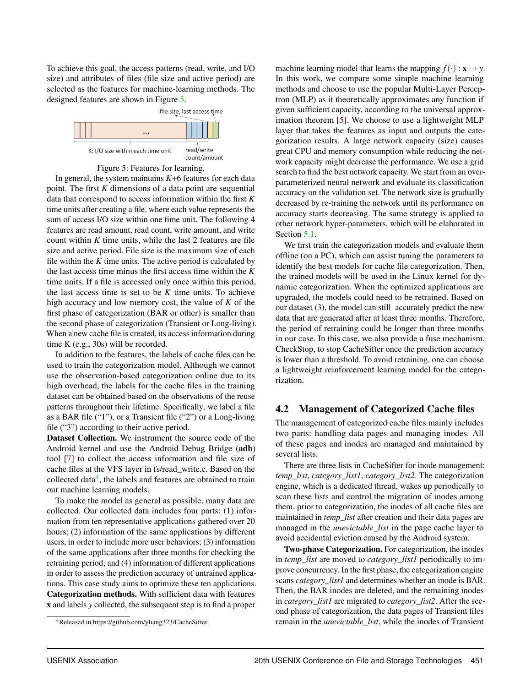To achieve this goal, the access patterns (read, write, and I/O size) and attributes of files (file size and active period) are selected as the features for machine-learning methods. The designed features are shown in Figure [5.](#page-7-0)

<span id="page-7-0"></span>



In general, the system maintains *K*+6 features for each data point. The first *K* dimensions of a data point are sequential data that correspond to access information within the first *K* time units after creating a file, where each value represents the sum of access I/O size within one time unit. The following 4 features are read amount, read count, write amount, and write count within *K* time units, while the last 2 features are file size and active period. File size is the maximum size of each file within the  $K$  time units. The active period is calculated by the last access time minus the first access time within the *K* time units. If a file is accessed only once within this period, the last access time is set to be *K* time units. To achieve high accuracy and low memory cost, the value of *K* of the first phase of categorization (BAR or other) is smaller than the second phase of categorization (Transient or Long-living). When a new cache file is created, its access information during time K (e.g., 30s) will be recorded.

In addition to the features, the labels of cache files can be used to train the categorization model. Although we cannot use the observation-based categorization online due to its high overhead, the labels for the cache files in the training dataset can be obtained based on the observations of the reuse patterns throughout their lifetime. Specifically, we label a file as a BAR file ("1"), or a Transient file ("2") or a Long-living file ("3") according to their active period.

Dataset Collection. We instrument the source code of the Android kernel and use the Android Debug Bridge (adb) tool [\[7\]](#page-14-17) to collect the access information and file size of cache files at the VFS layer in fs/read\_write.c. Based on the collected data<sup>[4](#page-7-1)</sup>, the labels and features are obtained to train our machine learning models.

To make the model as general as possible, many data are collected. Our collected data includes four parts: (1) information from ten representative applications gathered over 20 hours; (2) information of the same applications by different users, in order to include more user behaviors; (3) information of the same applications after three months for checking the retraining period; and (4) information of different applications in order to assess the prediction accuracy of untrained applications. This case study aims to optimize these ten applications. Categorization methods. With sufficient data with features x and labels *y* collected, the subsequent step is to find a proper

<span id="page-7-1"></span><sup>4</sup>Released in https://github.com/yliang323/CacheSifter.

machine learning model that learns the mapping  $f(.) : \mathbf{x} \to y$ . In this work, we compare some simple machine learning methods and choose to use the popular Multi-Layer Perceptron (MLP) as it theoretically approximates any function if given sufficient capacity, according to the universal approximation theorem [\[5\]](#page-14-15). We choose to use a lightweight MLP layer that takes the features as input and outputs the categorization results. A large network capacity (size) causes great CPU and memory consumption while reducing the network capacity might decrease the performance. We use a grid search to find the best network capacity. We start from an overparameterized neural network and evaluate its classification accuracy on the validation set. The network size is gradually decreased by re-training the network until its performance on accuracy starts decreasing. The same strategy is applied to other network hyper-parameters, which will be elaborated in Section [5.1.](#page-8-0)

We first train the categorization models and evaluate them offline (on a PC), which can assist tuning the parameters to identify the best models for cache file categorization. Then, the trained models will be used in the Linux kernel for dynamic categorization. When the optimized applications are upgraded, the models could need to be retrained. Based on our dataset (3), the model can still accurately predict the new data that are generated after at least three months. Therefore, the period of retraining could be longer than three months in our case. In this case, we also provide a fuse mechanism, CheckStop, to stop CacheSifter once the prediction accuracy is lower than a threshold. To avoid retraining, one can choose a lightweight reinforcement learning model for the categorization.

## 4.2 Management of Categorized Cache files

The management of categorized cache files mainly includes two parts: handling data pages and managing inodes. All of these pages and inodes are managed and maintained by several lists.

There are three lists in CacheSifter for inode management: *temp\_list*, *category\_list1*, *category\_list2*. The categorization engine, which is a dedicated thread, wakes up periodically to scan these lists and control the migration of inodes among them. prior to categorization, the inodes of all cache files are maintained in *temp\_list* after creation and their data pages are managed in the *unevictable\_list* in the page cache layer to avoid accidental eviction caused by the Android system.

Two-phase Categorization. For categorization, the inodes in *temp\_list* are moved to *category\_list1* periodically to improve concurrency. In the first phase, the categorization engine scans *category\_list1* and determines whether an inode is BAR. Then, the BAR inodes are deleted, and the remaining inodes in *category\_list1* are migrated to *category\_list2*. After the second phase of categorization, the data pages of Transient files remain in the *unevictable\_list*, while the inodes of Transient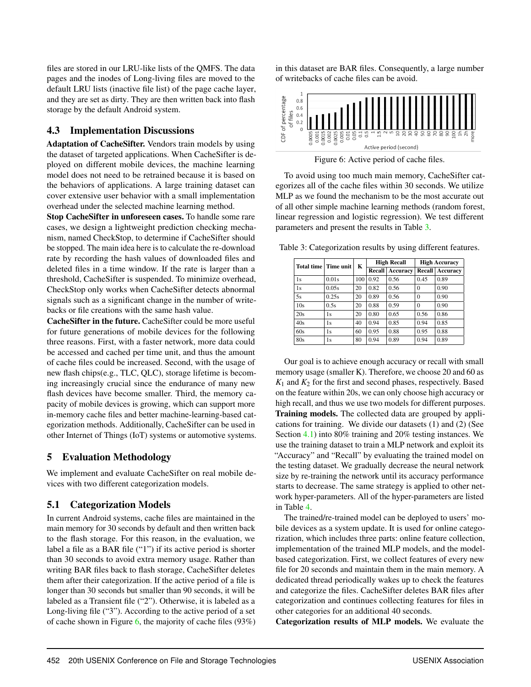files are stored in our LRU-like lists of the QMFS. The data pages and the inodes of Long-living files are moved to the default LRU lists (inactive file list) of the page cache layer, and they are set as dirty. They are then written back into flash storage by the default Android system.

## 4.3 Implementation Discussions

Adaptation of CacheSifter. Vendors train models by using the dataset of targeted applications. When CacheSifter is deployed on different mobile devices, the machine learning model does not need to be retrained because it is based on the behaviors of applications. A large training dataset can cover extensive user behavior with a small implementation overhead under the selected machine learning method.

Stop CacheSifter in unforeseen cases. To handle some rare cases, we design a lightweight prediction checking mechanism, named CheckStop, to determine if CacheSifter should be stopped. The main idea here is to calculate the re-download rate by recording the hash values of downloaded files and deleted files in a time window. If the rate is larger than a threshold, CacheSifter is suspended. To minimize overhead, CheckStop only works when CacheSifter detects abnormal signals such as a significant change in the number of writebacks or file creations with the same hash value.

CacheSifter in the future. CacheSifter could be more useful for future generations of mobile devices for the following three reasons. First, with a faster network, more data could be accessed and cached per time unit, and thus the amount of cache files could be increased. Second, with the usage of new flash chips(e.g., TLC, QLC), storage lifetime is becoming increasingly crucial since the endurance of many new flash devices have become smaller. Third, the memory capacity of mobile devices is growing, which can support more in-memory cache files and better machine-learning-based categorization methods. Additionally, CacheSifter can be used in other Internet of Things (IoT) systems or automotive systems.

## 5 Evaluation Methodology

We implement and evaluate CacheSifter on real mobile devices with two different categorization models.

## <span id="page-8-0"></span>5.1 Categorization Models

In current Android systems, cache files are maintained in the main memory for 30 seconds by default and then written back to the flash storage. For this reason, in the evaluation, we label a file as a BAR file ("1") if its active period is shorter than 30 seconds to avoid extra memory usage. Rather than writing BAR files back to flash storage, CacheSifter deletes them after their categorization. If the active period of a file is longer than 30 seconds but smaller than 90 seconds, it will be labeled as a Transient file ("2"). Otherwise, it is labeled as a Long-living file ("3"). According to the active period of a set of cache shown in Figure [6,](#page-8-1) the majority of cache files (93%) in this dataset are BAR files. Consequently, a large number of writebacks of cache files can be avoid.

<span id="page-8-1"></span>

Figure 6: Active period of cache files.

To avoid using too much main memory, CacheSifter categorizes all of the cache files within 30 seconds. We utilize MLP as we found the mechanism to be the most accurate out of all other simple machine learning methods (random forest, linear regression and logistic regression). We test different parameters and present the results in Table [3.](#page-8-2)

<span id="page-8-2"></span>Table 3: Categorization results by using different features.

|     | Total time   Time unit | K                | <b>High Recall</b> |                 | <b>High Accuracy</b> |                 |
|-----|------------------------|------------------|--------------------|-----------------|----------------------|-----------------|
|     |                        |                  | Recall             | <b>Accuracy</b> | Recall               | <b>Accuracy</b> |
| 1s  | 0.01s                  | 100 <sup>1</sup> | 0.92               | 0.56            | 0.45                 | 0.89            |
| 1s  | 0.05s                  | 20               | 0.82               | 0.56            | $\Omega$             | 0.90            |
| 5s  | 0.25s                  | 20               | 0.89               | 0.56            | $\Omega$             | 0.90            |
| 10s | 0.5s                   | 20               | 0.88               | 0.59            | $\Omega$             | 0.90            |
| 20s | 1s                     | 20               | 0.80               | 0.65            | 0.56                 | 0.86            |
| 40s | 1s                     | 40               | 0.94               | 0.85            | 0.94                 | 0.85            |
| 60s | 1s                     | 60               | 0.95               | 0.88            | 0.95                 | 0.88            |
| 80s | 1s                     | 80               | 0.94               | 0.89            | 0.94                 | 0.89            |

Our goal is to achieve enough accuracy or recall with small memory usage (smaller K). Therefore, we choose 20 and 60 as  $K_1$  and  $K_2$  for the first and second phases, respectively. Based on the feature within 20s, we can only choose high accuracy or high recall, and thus we use two models for different purposes. Training models. The collected data are grouped by applications for training. We divide our datasets (1) and (2) (See Section [4.1\)](#page-6-4) into 80% training and 20% testing instances. We use the training dataset to train a MLP network and exploit its "Accuracy" and "Recall" by evaluating the trained model on the testing dataset. We gradually decrease the neural network size by re-training the network until its accuracy performance starts to decrease. The same strategy is applied to other network hyper-parameters. All of the hyper-parameters are listed in Table [4.](#page-9-1)

The trained/re-trained model can be deployed to users' mobile devices as a system update. It is used for online categorization, which includes three parts: online feature collection, implementation of the trained MLP models, and the modelbased categorization. First, we collect features of every new file for 20 seconds and maintain them in the main memory. A dedicated thread periodically wakes up to check the features and categorize the files. CacheSifter deletes BAR files after categorization and continues collecting features for files in other categories for an additional 40 seconds.

Categorization results of MLP models. We evaluate the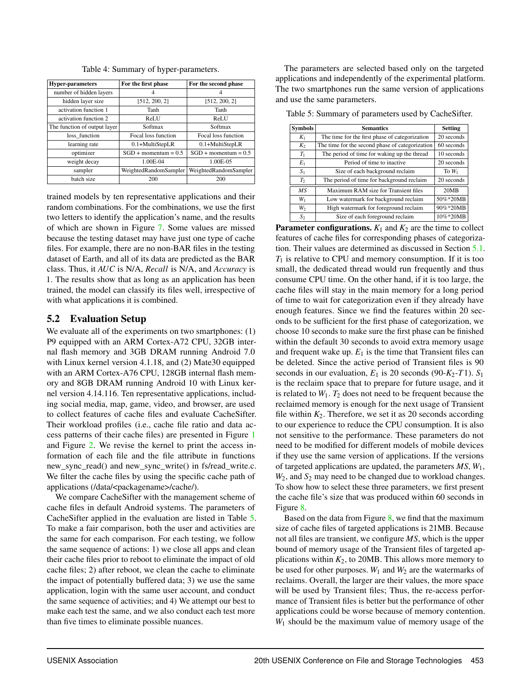<span id="page-9-1"></span>

| <b>Hyper-parameters</b>      | For the first phase    | For the second phase   |  |
|------------------------------|------------------------|------------------------|--|
| number of hidden layers      |                        |                        |  |
| hidden layer size            | [512, 200, 2]          | [512, 200, 2]          |  |
| activation function 1        | Tanh                   | Tanh                   |  |
| activation function 2        | ReLU                   | ReLU                   |  |
| The function of output layer | Softmax                | Softmax                |  |
| loss function                | Focal loss function    | Focal loss function    |  |
| learning rate                | $0.1+MultiStepLR$      | $0.1+MultiStepLR$      |  |
| optimizer                    | $SGD + momentum = 0.5$ | $SGD + momentum = 0.5$ |  |
| weight decay                 | $1.00E-04$             | $1.00E-0.5$            |  |
| sampler                      | WeightedRandomSampler  | WeightedRandomSampler  |  |
| batch size                   | 200                    | 200                    |  |

Table 4: Summary of hyper-parameters.

trained models by ten representative applications and their random combinations. For the combinations, we use the first two letters to identify the application's name, and the results of which are shown in Figure [7.](#page-10-0) Some values are missed because the testing dataset may have just one type of cache files. For example, there are no non-BAR files in the testing dataset of Earth, and all of its data are predicted as the BAR class. Thus, it *AUC* is N/A, *Recall* is N/A, and *Accuracy* is 1. The results show that as long as an application has been trained, the model can classify its files well, irrespective of with what applications it is combined.

## <span id="page-9-0"></span>5.2 Evaluation Setup

We evaluate all of the experiments on two smartphones: (1) P9 equipped with an ARM Cortex-A72 CPU, 32GB internal flash memory and 3GB DRAM running Android 7.0 with Linux kernel version 4.1.18, and (2) Mate30 equipped with an ARM Cortex-A76 CPU, 128GB internal flash memory and 8GB DRAM running Android 10 with Linux kernel version 4.14.116. Ten representative applications, including social media, map, game, video, and browser, are used to collect features of cache files and evaluate CacheSifter. Their workload profiles (i.e., cache file ratio and data access patterns of their cache files) are presented in Figure [1](#page-3-0) and Figure [2.](#page-3-1) We revise the kernel to print the access information of each file and the file attribute in functions new\_sync\_read() and new\_sync\_write() in fs/read\_write.c. We filter the cache files by using the specific cache path of applications (/data/<packagename>/cache/).

We compare CacheSifter with the management scheme of cache files in default Android systems. The parameters of CacheSifter applied in the evaluation are listed in Table [5.](#page-9-2) To make a fair comparison, both the user and activities are the same for each comparison. For each testing, we follow the same sequence of actions: 1) we close all apps and clean their cache files prior to reboot to eliminate the impact of old cache files; 2) after reboot, we clean the cache to eliminate the impact of potentially buffered data; 3) we use the same application, login with the same user account, and conduct the same sequence of activities; and 4) We attempt our best to make each test the same, and we also conduct each test more than five times to eliminate possible nuances.

The parameters are selected based only on the targeted applications and independently of the experimental platform. The two smartphones run the same version of applications and use the same parameters.

<span id="page-9-2"></span>Table 5: Summary of parameters used by CacheSifter.

| <b>Symbols</b> | <b>Semantics</b>                                | <b>Setting</b> |
|----------------|-------------------------------------------------|----------------|
| $K_1$          | The time for the first phase of categorization  | 20 seconds     |
| $K_2$          | The time for the second phase of categorization | 60 seconds     |
| $T_1$          | The period of time for waking up the thread     | 10 seconds     |
| $E_1$          | Period of time to inactive                      | 20 seconds     |
| S <sub>1</sub> | Size of each background reclaim                 | To $W_1$       |
| T <sub>2</sub> | The period of time for background reclaim       | 20 seconds     |
| MS             | Maximum RAM size for Transient files            | 20MB           |
| $W_1$          | Low watermark for background reclaim            | 50%*20MB       |
| $W_2$          | High watermark for foreground reclaim           | 90%*20MB       |
| $S_2$          | Size of each foreground reclaim                 | 10%*20MB       |

**Parameter configurations.**  $K_1$  and  $K_2$  are the time to collect features of cache files for corresponding phases of categorization. Their values are determined as discussed in Section [5.1.](#page-8-0) *T*<sup>1</sup> is relative to CPU and memory consumption. If it is too small, the dedicated thread would run frequently and thus consume CPU time. On the other hand, if it is too large, the cache files will stay in the main memory for a long period of time to wait for categorization even if they already have enough features. Since we find the features within 20 seconds to be sufficient for the first phase of categorization, we choose 10 seconds to make sure the first phase can be finished within the default 30 seconds to avoid extra memory usage and frequent wake up.  $E_1$  is the time that Transient files can be deleted. Since the active period of Transient files is 90 seconds in our evaluation,  $E_1$  is 20 seconds (90- $K_2$ -*T*1).  $S_1$ is the reclaim space that to prepare for future usage, and it is related to  $W_1$ .  $T_2$  does not need to be frequent because the reclaimed memory is enough for the next usage of Transient file within  $K_2$ . Therefore, we set it as 20 seconds according to our experience to reduce the CPU consumption. It is also not sensitive to the performance. These parameters do not need to be modified for different models of mobile devices if they use the same version of applications. If the versions of targeted applications are updated, the parameters *MS*, *W*1, *W*2, and *S*<sup>2</sup> may need to be changed due to workload changes. To show how to select these three parameters, we first present the cache file's size that was produced within 60 seconds in Figure [8.](#page-10-1)

Based on the data from Figure [8,](#page-10-1) we find that the maximum size of cache files of targeted applications is 21MB. Because not all files are transient, we configure *MS*, which is the upper bound of memory usage of the Transient files of targeted applications within  $K_2$ , to 20MB. This allows more memory to be used for other purposes.  $W_1$  and  $W_2$  are the watermarks of reclaims. Overall, the larger are their values, the more space will be used by Transient files; Thus, the re-access performance of Transient files is better but the performance of other applications could be worse because of memory contention. *W*<sup>1</sup> should be the maximum value of memory usage of the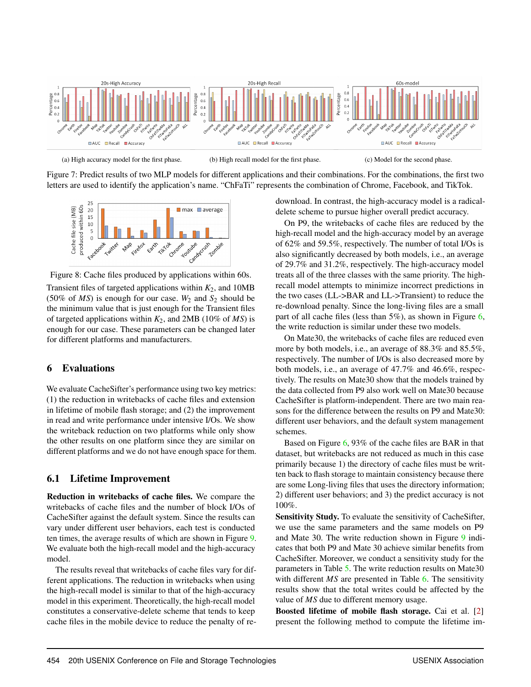<span id="page-10-0"></span>

(a) High accuracy model for the first phase. (b) High recall model for the first phase. (c) Model for the second phase.

Figure 7: Predict results of two MLP models for different applications and their combinations. For the combinations, the first two letters are used to identify the application's name. "ChFaTi" represents the combination of Chrome, Facebook, and TikTok.

<span id="page-10-1"></span>

Figure 8: Cache files produced by applications within 60s.

Transient files of targeted applications within  $K_2$ , and 10MB (50% of  $MS$ ) is enough for our case.  $W_2$  and  $S_2$  should be the minimum value that is just enough for the Transient files of targeted applications within *K*2, and 2MB (10% of *MS*) is enough for our case. These parameters can be changed later for different platforms and manufacturers.

## 6 Evaluations

We evaluate CacheSifter's performance using two key metrics: (1) the reduction in writebacks of cache files and extension in lifetime of mobile flash storage; and (2) the improvement in read and write performance under intensive I/Os. We show the writeback reduction on two platforms while only show the other results on one platform since they are similar on different platforms and we do not have enough space for them.

## 6.1 Lifetime Improvement

Reduction in writebacks of cache files. We compare the writebacks of cache files and the number of block I/Os of CacheSifter against the default system. Since the results can vary under different user behaviors, each test is conducted ten times, the average results of which are shown in Figure [9.](#page-11-0) We evaluate both the high-recall model and the high-accuracy model.

The results reveal that writebacks of cache files vary for different applications. The reduction in writebacks when using the high-recall model is similar to that of the high-accuracy model in this experiment. Theoretically, the high-recall model constitutes a conservative-delete scheme that tends to keep cache files in the mobile device to reduce the penalty of redownload. In contrast, the high-accuracy model is a radicaldelete scheme to pursue higher overall predict accuracy.

On P9, the writebacks of cache files are reduced by the high-recall model and the high-accuracy model by an average of 62% and 59.5%, respectively. The number of total I/Os is also significantly decreased by both models, i.e., an average of 29.7% and 31.2%, respectively. The high-accuracy model treats all of the three classes with the same priority. The highrecall model attempts to minimize incorrect predictions in the two cases (LL->BAR and LL->Transient) to reduce the re-download penalty. Since the long-living files are a small part of all cache files (less than  $5\%$ ), as shown in Figure [6,](#page-8-1) the write reduction is similar under these two models.

On Mate30, the writebacks of cache files are reduced even more by both models, i.e., an average of 88.3% and 85.5%, respectively. The number of I/Os is also decreased more by both models, i.e., an average of 47.7% and 46.6%, respectively. The results on Mate30 show that the models trained by the data collected from P9 also work well on Mate30 because CacheSifter is platform-independent. There are two main reasons for the difference between the results on P9 and Mate30: different user behaviors, and the default system management schemes.

Based on Figure [6,](#page-8-1) 93% of the cache files are BAR in that dataset, but writebacks are not reduced as much in this case primarily because 1) the directory of cache files must be written back to flash storage to maintain consistency because there are some Long-living files that uses the directory information; 2) different user behaviors; and 3) the predict accuracy is not 100%.

Sensitivity Study. To evaluate the sensitivity of CacheSifter, we use the same parameters and the same models on P9 and Mate 30. The write reduction shown in Figure [9](#page-11-0) indicates that both P9 and Mate 30 achieve similar benefits from CacheSifter. Moreover, we conduct a sensitivity study for the parameters in Table [5.](#page-9-2) The write reduction results on Mate30 with different *MS* are presented in Table [6.](#page-11-1) The sensitivity results show that the total writes could be affected by the value of *MS* due to different memory usage.

Boosted lifetime of mobile flash storage. Cai et al. [\[2\]](#page-13-0) present the following method to compute the lifetime im-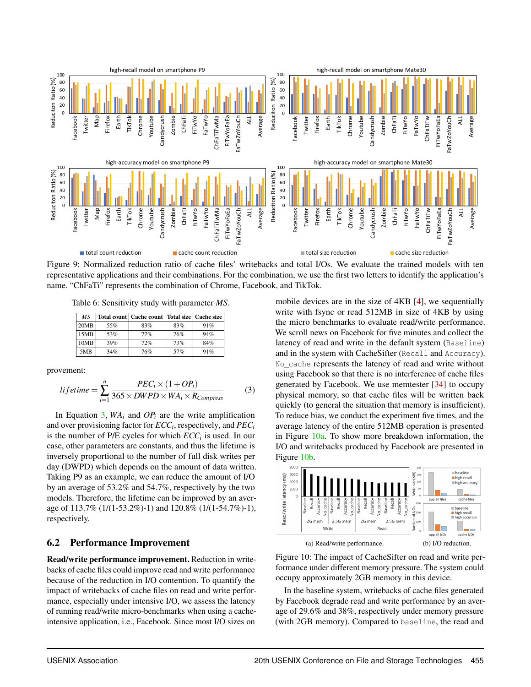<span id="page-11-0"></span>

Figure 9: Normalized reduction ratio of cache files' writebacks and total I/Os. We evaluate the trained models with ten representative applications and their combinations. For the combination, we use the first two letters to identify the application's name. "ChFaTi" represents the combination of Chrome, Facebook, and TikTok.

<span id="page-11-1"></span>Table 6: Sensitivity study with parameter *MS*.

| MS.  |     | Total count   Cache count   Total size   Cache size |     |     |
|------|-----|-----------------------------------------------------|-----|-----|
| 20MB | 55% | 83%                                                 | 83% | 91% |
| 15MB | 53% | 77%                                                 | 76% | 94% |
| 10MB | 39% | 72%                                                 | 73% | 84% |
| 5MB  | 34% | 76%                                                 | 57% | 91% |

provement:

<span id="page-11-2"></span>
$$
lifetime = \sum_{i=1}^{n} \frac{PEC_i \times (1 + OP_i)}{365 \times DWPD \times WA_i \times R_{Compress}} \tag{3}
$$

In Equation [3,](#page-11-2)  $WA_i$  and  $OP_i$  are the write amplification and over provisioning factor for *ECC<sup>i</sup>* , respectively, and *PEC<sup>i</sup>* is the number of P/E cycles for which *ECC<sup>i</sup>* is used. In our case, other parameters are constants, and thus the lifetime is inversely proportional to the number of full disk writes per day (DWPD) which depends on the amount of data written. Taking P9 as an example, we can reduce the amount of I/O by an average of 53.2% and 54.7%, respectively by the two models. Therefore, the lifetime can be improved by an average of 113.7% (1/(1-53.2%)-1) and 120.8% (1/(1-54.7%)-1), respectively.

## 6.2 Performance Improvement

Read/write performance improvement. Reduction in writebacks of cache files could improve read and write performance because of the reduction in I/O contention. To quantify the impact of writebacks of cache files on read and write performance, especially under intensive I/O, we assess the latency of running read/write micro-benchmarks when using a cacheintensive application, i.e., Facebook. Since most I/O sizes on

mobile devices are in the size of 4KB [\[4\]](#page-14-13), we sequentially write with fsync or read 512MB in size of 4KB by using the micro benchmarks to evaluate read/write performance. We scroll news on Facebook for five minutes and collect the latency of read and write in the default system (Baseline) and in the system with CacheSifter (Recall and Accuracy). No\_cache represents the latency of read and write without using Facebook so that there is no interference of cache files generated by Facebook. We use memtester [\[34\]](#page-15-12) to occupy physical memory, so that cache files will be written back quickly (to general the situation that memory is insufficient). To reduce bias, we conduct the experiment five times, and the average latency of the entire 512MB operation is presented in Figure  $10a$ . To show more breakdown information, the I/O and writebacks produced by Facebook are presented in Figure [10b.](#page-11-4)

<span id="page-11-3"></span>

<span id="page-11-4"></span>Figure 10: The impact of CacheSifter on read and write performance under different memory pressure. The system could occupy approximately 2GB memory in this device.

In the baseline system, writebacks of cache files generated by Facebook degrade read and write performance by an average of 29.6% and 38%, respectively under memory pressure (with 2GB memory). Compared to baseline, the read and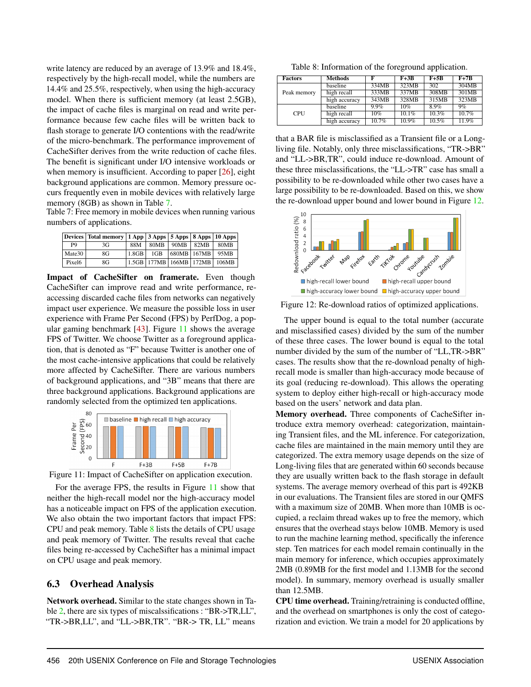write latency are reduced by an average of 13.9% and 18.4%, respectively by the high-recall model, while the numbers are 14.4% and 25.5%, respectively, when using the high-accuracy model. When there is sufficient memory (at least 2.5GB), the impact of cache files is marginal on read and write performance because few cache files will be written back to flash storage to generate I/O contentions with the read/write of the micro-benchmark. The performance improvement of CacheSifter derives from the write reduction of cache files. The benefit is significant under I/O intensive workloads or when memory is insufficient. According to paper [\[26\]](#page-15-4), eight background applications are common. Memory pressure occurs frequently even in mobile devices with relatively large memory (8GB) as shown in Table [7.](#page-12-0)

<span id="page-12-0"></span>Table 7: Free memory in mobile devices when running various numbers of applications.

|                    | Devices   Total memory   1 App   3 Apps   5 Apps   8 Apps   10 Apps |          |      |                                       |      |      |
|--------------------|---------------------------------------------------------------------|----------|------|---------------------------------------|------|------|
| P <sub>9</sub>     | 3G                                                                  | 88M      | 80MB | 90MB                                  | 82MB | 80MB |
| Mate30             | 8G                                                                  | $1.8$ GB | 1GB  | 680MB 167MB                           |      | 95MB |
| Pixel <sub>6</sub> | 8G                                                                  |          |      | 1.5GB   177MB   166MB   172MB   106MB |      |      |

Impact of CacheSifter on framerate. Even though CacheSifter can improve read and write performance, reaccessing discarded cache files from networks can negatively impact user experience. We measure the possible loss in user experience with Frame Per Second (FPS) by PerfDog, a popular gaming benchmark [\[43\]](#page-15-13). Figure [11](#page-12-1) shows the average FPS of Twitter. We choose Twitter as a foreground application, that is denoted as "F" because Twitter is another one of the most cache-intensive applications that could be relatively more affected by CacheSifter. There are various numbers of background applications, and "3B" means that there are three background applications. Background applications are randomly selected from the optimized ten applications.

<span id="page-12-1"></span>

Figure 11: Impact of CacheSifter on application execution.

For the average FPS, the results in Figure [11](#page-12-1) show that neither the high-recall model nor the high-accuracy model has a noticeable impact on FPS of the application execution. We also obtain the two important factors that impact FPS: CPU and peak memory. Table [8](#page-12-2) lists the details of CPU usage and peak memory of Twitter. The results reveal that cache files being re-accessed by CacheSifter has a minimal impact on CPU usage and peak memory.

#### 6.3 Overhead Analysis

Network overhead. Similar to the state changes shown in Table [2,](#page-6-3) there are six types of miscalssifications : "BR->TR,LL", "TR->BR,LL", and "LL->BR,TR". "BR-> TR, LL" means

<span id="page-12-2"></span>Table 8: Information of the foreground application.

| <b>Factors</b> | <b>Methods</b> | F       | $F+3B$ | $F+5B$ | $F+7B$ |
|----------------|----------------|---------|--------|--------|--------|
|                | baseline       | 334MB   | 323MB  | 302    | 304MB  |
| Peak memory    | high recall    | 333MB   | 337MB  | 308MB  | 301MB  |
|                | high accuracy  | 343MB   | 328MB  | 315MB  | 323MB  |
|                | baseline       | $9.9\%$ | 10%    | 8.9%   | 9%     |
| <b>CPU</b>     | high recall    | 10%     | 10.1%  | 10.3%  | 10.7%  |
|                | high accuracy  | 10.7%   | 10.9%  | 10.5%  | 11.9%  |

that a BAR file is misclassified as a Transient file or a Longliving file. Notably, only three misclassifications, "TR->BR" and "LL->BR,TR", could induce re-download. Amount of these three misclassifications, the "LL->TR" case has small a possibility to be re-downloaded while other two cases have a large possibility to be re-downloaded. Based on this, we show the re-download upper bound and lower bound in Figure [12.](#page-12-3)

<span id="page-12-3"></span>

Figure 12: Re-download ratios of optimized applications.

The upper bound is equal to the total number (accurate and misclassified cases) divided by the sum of the number of these three cases. The lower bound is equal to the total number divided by the sum of the number of "LL,TR->BR" cases. The results show that the re-download penalty of highrecall mode is smaller than high-accuracy mode because of its goal (reducing re-download). This allows the operating system to deploy either high-recall or high-accuracy mode based on the users' network and data plan.

Memory overhead. Three components of CacheSifter introduce extra memory overhead: categorization, maintaining Transient files, and the ML inference. For categorization, cache files are maintained in the main memory until they are categorized. The extra memory usage depends on the size of Long-living files that are generated within 60 seconds because they are usually written back to the flash storage in default systems. The average memory overhead of this part is 492KB in our evaluations. The Transient files are stored in our QMFS with a maximum size of 20MB. When more than 10MB is occupied, a reclaim thread wakes up to free the memory, which ensures that the overhead stays below 10MB. Memory is used to run the machine learning method, specifically the inference step. Ten matrices for each model remain continually in the main memory for inference, which occupies approximately 2MB (0.89MB for the first model and 1.13MB for the second model). In summary, memory overhead is usually smaller than 12.5MB.

CPU time overhead. Training/retraining is conducted offline, and the overhead on smartphones is only the cost of categorization and eviction. We train a model for 20 applications by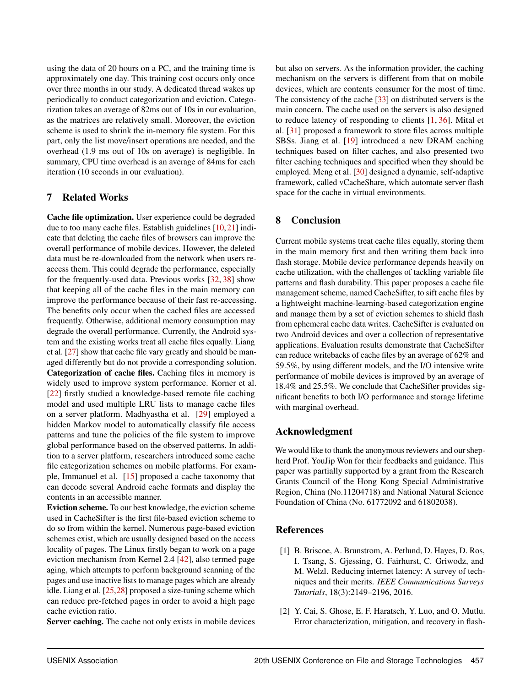using the data of 20 hours on a PC, and the training time is approximately one day. This training cost occurs only once over three months in our study. A dedicated thread wakes up periodically to conduct categorization and eviction. Categorization takes an average of 82ms out of 10s in our evaluation, as the matrices are relatively small. Moreover, the eviction scheme is used to shrink the in-memory file system. For this part, only the list move/insert operations are needed, and the overhead (1.9 ms out of 10s on average) is negligible. In summary, CPU time overhead is an average of 84ms for each iteration (10 seconds in our evaluation).

## 7 Related Works

Cache file optimization. User experience could be degraded due to too many cache files. Establish guidelines [\[10,](#page-14-9)[21\]](#page-14-10) indicate that deleting the cache files of browsers can improve the overall performance of mobile devices. However, the deleted data must be re-downloaded from the network when users reaccess them. This could degrade the performance, especially for the frequently-used data. Previous works [\[32,](#page-15-5) [38\]](#page-15-7) show that keeping all of the cache files in the main memory can improve the performance because of their fast re-accessing. The benefits only occur when the cached files are accessed frequently. Otherwise, additional memory consumption may degrade the overall performance. Currently, the Android system and the existing works treat all cache files equally. Liang et al. [\[27\]](#page-15-2) show that cache file vary greatly and should be managed differently but do not provide a corresponding solution. Categorization of cache files. Caching files in memory is widely used to improve system performance. Korner et al. [\[22\]](#page-14-18) firstly studied a knowledge-based remote file caching model and used multiple LRU lists to manage cache files on a server platform. Madhyastha et al. [\[29\]](#page-15-14) employed a hidden Markov model to automatically classify file access patterns and tune the policies of the file system to improve global performance based on the observed patterns. In addition to a server platform, researchers introduced some cache file categorization schemes on mobile platforms. For example, Immanuel et al. [\[15\]](#page-14-19) proposed a cache taxonomy that can decode several Android cache formats and display the contents in an accessible manner.

Eviction scheme. To our best knowledge, the eviction scheme used in CacheSifter is the first file-based eviction scheme to do so from within the kernel. Numerous page-based eviction schemes exist, which are usually designed based on the access locality of pages. The Linux firstly began to work on a page eviction mechanism from Kernel 2.4 [\[42\]](#page-15-15), also termed page aging, which attempts to perform background scanning of the pages and use inactive lists to manage pages which are already idle. Liang et al. [\[25,](#page-15-16)[28\]](#page-15-17) proposed a size-tuning scheme which can reduce pre-fetched pages in order to avoid a high page cache eviction ratio.

Server caching. The cache not only exists in mobile devices

but also on servers. As the information provider, the caching mechanism on the servers is different from that on mobile devices, which are contents consumer for the most of time. The consistency of the cache [\[33\]](#page-15-18) on distributed servers is the main concern. The cache used on the servers is also designed to reduce latency of responding to clients [\[1,](#page-13-1) [36\]](#page-15-19). Mital et al. [\[31\]](#page-15-20) proposed a framework to store files across multiple SBSs. Jiang et al. [\[19\]](#page-14-20) introduced a new DRAM caching techniques based on filter caches, and also presented two filter caching techniques and specified when they should be employed. Meng et al. [\[30\]](#page-15-21) designed a dynamic, self-adaptive framework, called vCacheShare, which automate server flash space for the cache in virtual environments.

## 8 Conclusion

Current mobile systems treat cache files equally, storing them in the main memory first and then writing them back into flash storage. Mobile device performance depends heavily on cache utilization, with the challenges of tackling variable file patterns and flash durability. This paper proposes a cache file management scheme, named CacheSifter, to sift cache files by a lightweight machine-learning-based categorization engine and manage them by a set of eviction schemes to shield flash from ephemeral cache data writes. CacheSifter is evaluated on two Android devices and over a collection of representative applications. Evaluation results demonstrate that CacheSifter can reduce writebacks of cache files by an average of 62% and 59.5%, by using different models, and the I/O intensive write performance of mobile devices is improved by an average of 18.4% and 25.5%. We conclude that CacheSifter provides significant benefits to both I/O performance and storage lifetime with marginal overhead.

## Acknowledgment

We would like to thank the anonymous reviewers and our shepherd Prof. YouJip Won for their feedbacks and guidance. This paper was partially supported by a grant from the Research Grants Council of the Hong Kong Special Administrative Region, China (No.11204718) and National Natural Science Foundation of China (No. 61772092 and 61802038).

## References

- <span id="page-13-1"></span>[1] B. Briscoe, A. Brunstrom, A. Petlund, D. Hayes, D. Ros, I. Tsang, S. Gjessing, G. Fairhurst, C. Griwodz, and M. Welzl. Reducing internet latency: A survey of techniques and their merits. *IEEE Communications Surveys Tutorials*, 18(3):2149–2196, 2016.
- <span id="page-13-0"></span>[2] Y. Cai, S. Ghose, E. F. Haratsch, Y. Luo, and O. Mutlu. Error characterization, mitigation, and recovery in flash-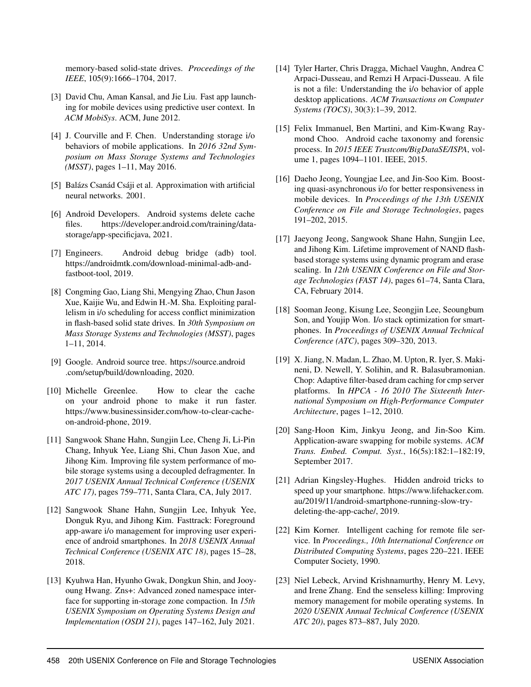memory-based solid-state drives. *Proceedings of the IEEE*, 105(9):1666–1704, 2017.

- <span id="page-14-8"></span>[3] David Chu, Aman Kansal, and Jie Liu. Fast app launching for mobile devices using predictive user context. In *ACM MobiSys*. ACM, June 2012.
- <span id="page-14-13"></span>[4] J. Courville and F. Chen. Understanding storage i/o behaviors of mobile applications. In *2016 32nd Symposium on Mass Storage Systems and Technologies (MSST)*, pages 1–11, May 2016.
- <span id="page-14-15"></span>[5] Balázs Csanád Csáji et al. Approximation with artificial neural networks. 2001.
- <span id="page-14-16"></span>[6] Android Developers. Android systems delete cache files. https://developer.android.com/training/datastorage/app-specificjava, 2021.
- <span id="page-14-17"></span>[7] Engineers. Android debug bridge (adb) tool. https://androidmtk.com/download-minimal-adb-andfastboot-tool, 2019.
- <span id="page-14-7"></span>[8] Congming Gao, Liang Shi, Mengying Zhao, Chun Jason Xue, Kaijie Wu, and Edwin H.-M. Sha. Exploiting parallelism in i/o scheduling for access conflict minimization in flash-based solid state drives. In *30th Symposium on Mass Storage Systems and Technologies (MSST)*, pages 1–11, 2014.
- <span id="page-14-1"></span>[9] Google. Android source tree. https://source.android .com/setup/build/downloading, 2020.
- <span id="page-14-9"></span>[10] Michelle Greenlee. How to clear the cache on your android phone to make it run faster. https://www.businessinsider.com/how-to-clear-cacheon-android-phone, 2019.
- <span id="page-14-2"></span>[11] Sangwook Shane Hahn, Sungjin Lee, Cheng Ji, Li-Pin Chang, Inhyuk Yee, Liang Shi, Chun Jason Xue, and Jihong Kim. Improving file system performance of mobile storage systems using a decoupled defragmenter. In *2017 USENIX Annual Technical Conference (USENIX ATC 17)*, pages 759–771, Santa Clara, CA, July 2017.
- <span id="page-14-3"></span>[12] Sangwook Shane Hahn, Sungjin Lee, Inhyuk Yee, Donguk Ryu, and Jihong Kim. Fasttrack: Foreground app-aware i/o management for improving user experience of android smartphones. In *2018 USENIX Annual Technical Conference (USENIX ATC 18)*, pages 15–28, 2018.
- <span id="page-14-11"></span>[13] Kyuhwa Han, Hyunho Gwak, Dongkun Shin, and Jooyoung Hwang. Zns+: Advanced zoned namespace interface for supporting in-storage zone compaction. In *15th USENIX Symposium on Operating Systems Design and Implementation (OSDI 21)*, pages 147–162, July 2021.
- <span id="page-14-14"></span>[14] Tyler Harter, Chris Dragga, Michael Vaughn, Andrea C Arpaci-Dusseau, and Remzi H Arpaci-Dusseau. A file is not a file: Understanding the i/o behavior of apple desktop applications. *ACM Transactions on Computer Systems (TOCS)*, 30(3):1–39, 2012.
- <span id="page-14-19"></span>[15] Felix Immanuel, Ben Martini, and Kim-Kwang Raymond Choo. Android cache taxonomy and forensic process. In *2015 IEEE Trustcom/BigDataSE/ISPA*, volume 1, pages 1094–1101. IEEE, 2015.
- <span id="page-14-4"></span>[16] Daeho Jeong, Youngjae Lee, and Jin-Soo Kim. Boosting quasi-asynchronous i/o for better responsiveness in mobile devices. In *Proceedings of the 13th USENIX Conference on File and Storage Technologies*, pages 191–202, 2015.
- <span id="page-14-12"></span>[17] Jaeyong Jeong, Sangwook Shane Hahn, Sungjin Lee, and Jihong Kim. Lifetime improvement of NAND flashbased storage systems using dynamic program and erase scaling. In *12th USENIX Conference on File and Storage Technologies (FAST 14)*, pages 61–74, Santa Clara, CA, February 2014.
- <span id="page-14-5"></span>[18] Sooman Jeong, Kisung Lee, Seongjin Lee, Seoungbum Son, and Youjip Won. I/o stack optimization for smartphones. In *Proceedings of USENIX Annual Technical Conference (ATC)*, pages 309–320, 2013.
- <span id="page-14-20"></span>[19] X. Jiang, N. Madan, L. Zhao, M. Upton, R. Iyer, S. Makineni, D. Newell, Y. Solihin, and R. Balasubramonian. Chop: Adaptive filter-based dram caching for cmp server platforms. In *HPCA - 16 2010 The Sixteenth International Symposium on High-Performance Computer Architecture*, pages 1–12, 2010.
- <span id="page-14-6"></span>[20] Sang-Hoon Kim, Jinkyu Jeong, and Jin-Soo Kim. Application-aware swapping for mobile systems. *ACM Trans. Embed. Comput. Syst.*, 16(5s):182:1–182:19, September 2017.
- <span id="page-14-10"></span>[21] Adrian Kingsley-Hughes. Hidden android tricks to speed up your smartphone. https://www.lifehacker.com. au/2019/11/android-smartphone-running-slow-trydeleting-the-app-cache/, 2019.
- <span id="page-14-18"></span>[22] Kim Korner. Intelligent caching for remote file service. In *Proceedings., 10th International Conference on Distributed Computing Systems*, pages 220–221. IEEE Computer Society, 1990.
- <span id="page-14-0"></span>[23] Niel Lebeck, Arvind Krishnamurthy, Henry M. Levy, and Irene Zhang. End the senseless killing: Improving memory management for mobile operating systems. In *2020 USENIX Annual Technical Conference (USENIX ATC 20)*, pages 873–887, July 2020.